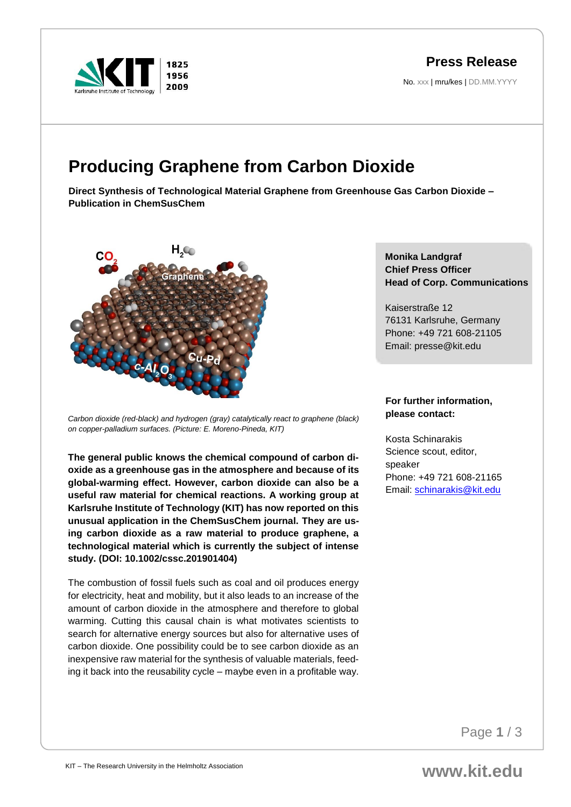

## **Press Release**

No. xxx | mru/kes | DD.MM.YYYY

## **Producing Graphene from Carbon Dioxide**

**Direct Synthesis of Technological Material Graphene from Greenhouse Gas Carbon Dioxide – Publication in ChemSusChem** 



*Carbon dioxide (red-black) and hydrogen (gray) catalytically react to graphene (black) on copper-palladium surfaces. (Picture: E. Moreno-Pineda, KIT)* 

**The general public knows the chemical compound of carbon dioxide as a greenhouse gas in the atmosphere and because of its global-warming effect. However, carbon dioxide can also be a useful raw material for chemical reactions. A working group at Karlsruhe Institute of Technology (KIT) has now reported on this unusual application in the ChemSusChem journal. They are using carbon dioxide as a raw material to produce graphene, a technological material which is currently the subject of intense study. (DOI: 10.1002/cssc.201901404)**

The combustion of fossil fuels such as coal and oil produces energy for electricity, heat and mobility, but it also leads to an increase of the amount of carbon dioxide in the atmosphere and therefore to global warming. Cutting this causal chain is what motivates scientists to search for alternative energy sources but also for alternative uses of carbon dioxide. One possibility could be to see carbon dioxide as an inexpensive raw material for the synthesis of valuable materials, feeding it back into the reusability cycle – maybe even in a profitable way.

## **Monika Landgraf Chief Press Officer Head of Corp. Communications**

Kaiserstraße 12 76131 Karlsruhe, Germany Phone: +49 721 608-21105 Email: presse@kit.edu

## **For further information, please contact:**

Kosta Schinarakis Science scout, editor, speaker Phone: +49 721 608-21165 Email: [schinarakis@kit.edu](mailto:schinarakis@kit.edu)

Page **1** / 3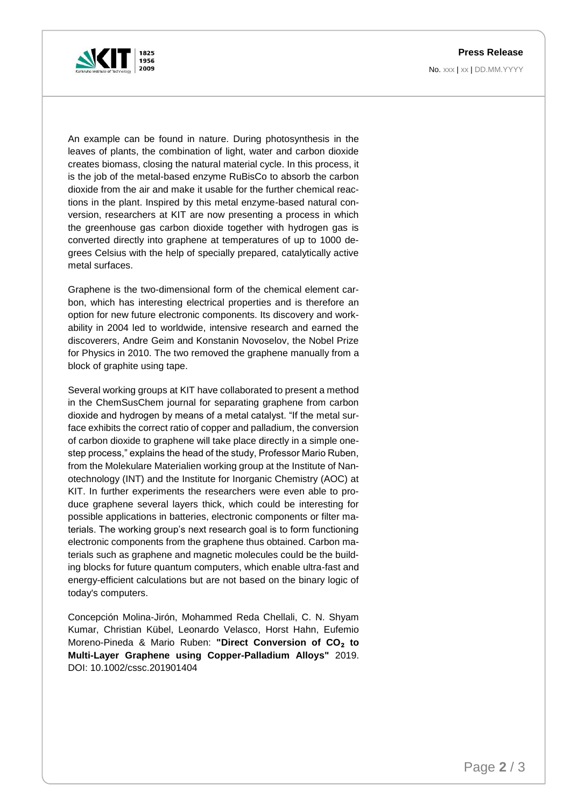**Press Release**

No. xxx | xx | DD.MM.YYYY



An example can be found in nature. During photosynthesis in the leaves of plants, the combination of light, water and carbon dioxide creates biomass, closing the natural material cycle. In this process, it is the job of the metal-based enzyme RuBisCo to absorb the carbon dioxide from the air and make it usable for the further chemical reactions in the plant. Inspired by this metal enzyme-based natural conversion, researchers at KIT are now presenting a process in which the greenhouse gas carbon dioxide together with hydrogen gas is converted directly into graphene at temperatures of up to 1000 degrees Celsius with the help of specially prepared, catalytically active metal surfaces.

Graphene is the two-dimensional form of the chemical element carbon, which has interesting electrical properties and is therefore an option for new future electronic components. Its discovery and workability in 2004 led to worldwide, intensive research and earned the discoverers, Andre Geim and Konstanin Novoselov, the Nobel Prize for Physics in 2010. The two removed the graphene manually from a block of graphite using tape.

Several working groups at KIT have collaborated to present a method in the ChemSusChem journal for separating graphene from carbon dioxide and hydrogen by means of a metal catalyst. "If the metal surface exhibits the correct ratio of copper and palladium, the conversion of carbon dioxide to graphene will take place directly in a simple onestep process," explains the head of the study, Professor Mario Ruben, from the Molekulare Materialien working group at the Institute of Nanotechnology (INT) and the Institute for Inorganic Chemistry (AOC) at KIT. In further experiments the researchers were even able to produce graphene several layers thick, which could be interesting for possible applications in batteries, electronic components or filter materials. The working group's next research goal is to form functioning electronic components from the graphene thus obtained. Carbon materials such as graphene and magnetic molecules could be the building blocks for future quantum computers, which enable ultra-fast and energy-efficient calculations but are not based on the binary logic of today's computers.

Concepción Molina-Jirón, Mohammed Reda Chellali, C. N. Shyam Kumar, Christian Kübel, Leonardo Velasco, Horst Hahn, Eufemio Moreno-Pineda & Mario Ruben: **"Direct Conversion of CO**₂ **to Multi-Layer Graphene using Copper-Palladium Alloys"** 2019. DOI: 10.1002/cssc.201901404